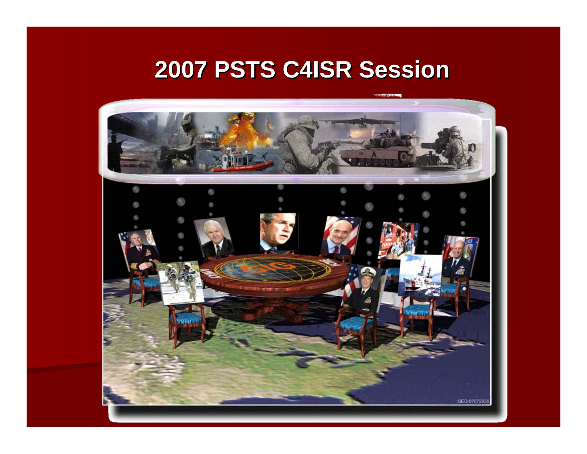## **2007 PSTS C4ISR Session 2007 PSTS C4ISR Session**

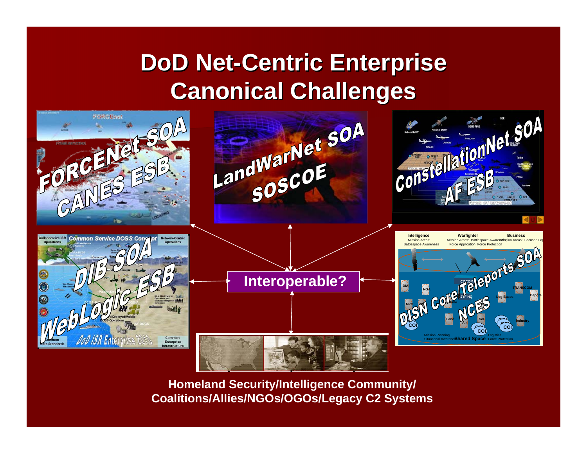## **DoD Net-Centric Enterprise Canonical Challenges Canonical Challenges**



**Homeland Security/Intelligence Community/ Coalitions/Allies/NGOs/OGOs/Legacy C2 Systems**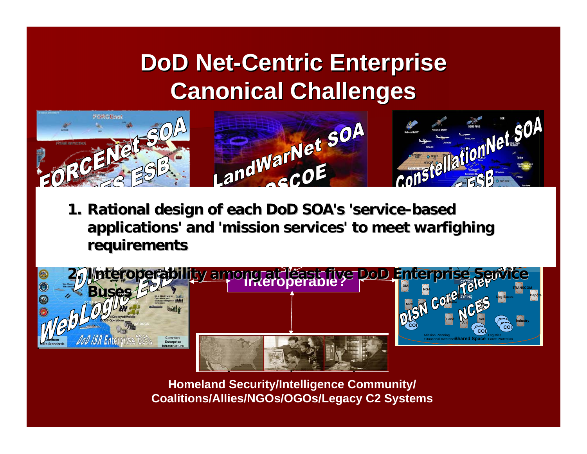## **DoD Net-Centric Enterprise Canonical Challenges Canonical Challenges**



**Intelligence Warfighter Business applications' and 'mission services' to meet applications' and 'mission services' to meet warfighing warfighing 1. Rational design of each DoD Rational design of each DoD SOA's 'service 'service-based requirements requirements**



**Homeland Security/Intelligence Community/ Coalitions/Allies/NGOs/OGOs/Legacy C2 Systems**